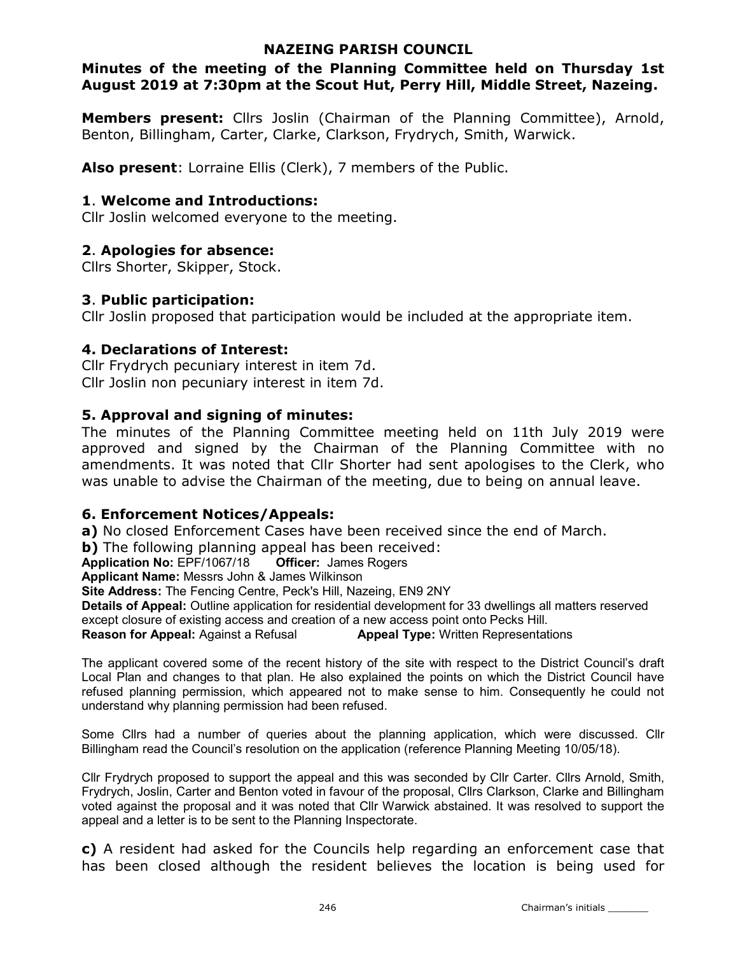### NAZEING PARISH COUNCIL

## Minutes of the meeting of the Planning Committee held on Thursday 1st August 2019 at 7:30pm at the Scout Hut, Perry Hill, Middle Street, Nazeing.

Members present: Cllrs Joslin (Chairman of the Planning Committee), Arnold, Benton, Billingham, Carter, Clarke, Clarkson, Frydrych, Smith, Warwick.

Also present: Lorraine Ellis (Clerk), 7 members of the Public.

## 1. Welcome and Introductions:

Cllr Joslin welcomed everyone to the meeting.

## 2. Apologies for absence:

Cllrs Shorter, Skipper, Stock.

## 3. Public participation:

Cllr Joslin proposed that participation would be included at the appropriate item.

## 4. Declarations of Interest:

Cllr Frydrych pecuniary interest in item 7d. Cllr Joslin non pecuniary interest in item 7d.

## 5. Approval and signing of minutes:

The minutes of the Planning Committee meeting held on 11th July 2019 were approved and signed by the Chairman of the Planning Committee with no amendments. It was noted that Cllr Shorter had sent apologises to the Clerk, who was unable to advise the Chairman of the meeting, due to being on annual leave.

## 6. Enforcement Notices/Appeals:

a) No closed Enforcement Cases have been received since the end of March.

**b)** The following planning appeal has been received:

Application No: EPF/1067/18 Officer: James Rogers

Applicant Name: Messrs John & James Wilkinson

Site Address: The Fencing Centre, Peck's Hill, Nazeing, EN9 2NY

Details of Appeal: Outline application for residential development for 33 dwellings all matters reserved except closure of existing access and creation of a new access point onto Pecks Hill.

**Reason for Appeal:** Against a Refusal **Appeal Type:** Written Representations

The applicant covered some of the recent history of the site with respect to the District Council's draft Local Plan and changes to that plan. He also explained the points on which the District Council have refused planning permission, which appeared not to make sense to him. Consequently he could not understand why planning permission had been refused.

Some Cllrs had a number of queries about the planning application, which were discussed. Cllr Billingham read the Council's resolution on the application (reference Planning Meeting 10/05/18).

Cllr Frydrych proposed to support the appeal and this was seconded by Cllr Carter. Cllrs Arnold, Smith, Frydrych, Joslin, Carter and Benton voted in favour of the proposal, Cllrs Clarkson, Clarke and Billingham voted against the proposal and it was noted that Cllr Warwick abstained. It was resolved to support the appeal and a letter is to be sent to the Planning Inspectorate.

c) A resident had asked for the Councils help regarding an enforcement case that has been closed although the resident believes the location is being used for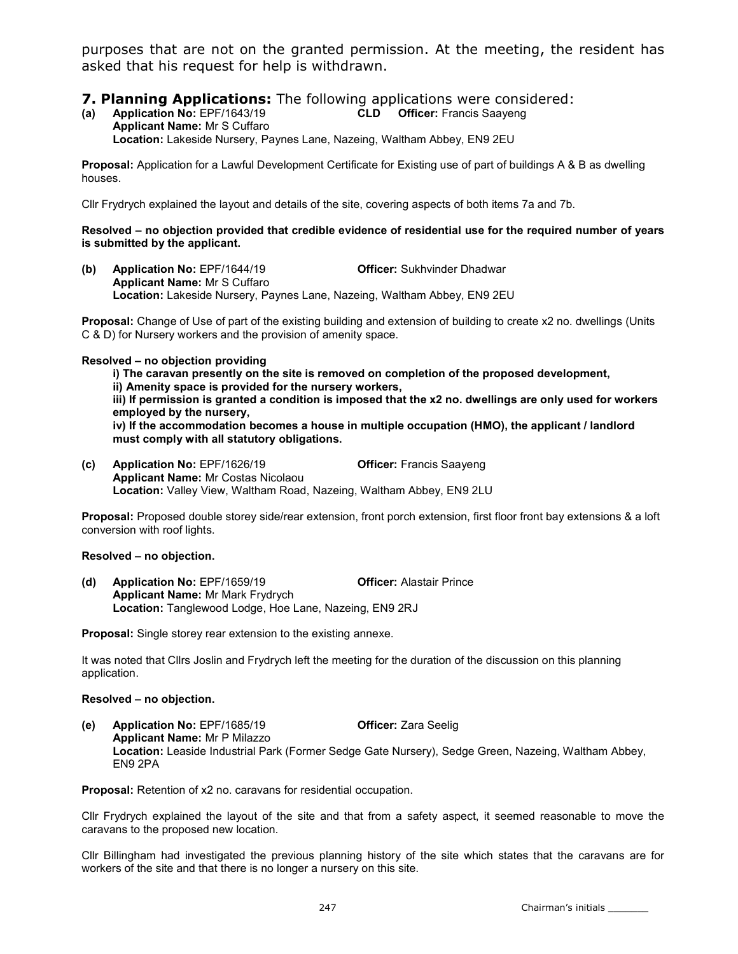purposes that are not on the granted permission. At the meeting, the resident has asked that his request for help is withdrawn.

# **7. Planning Applications:** The following applications were considered:<br>(a) Application No: EPF/1643/19 **CLD** Officer: Francis Saayeng

(a) Application No: EPF/1643/19 CLD Officer: Francis Saayeng Applicant Name: Mr S Cuffaro Location: Lakeside Nursery, Paynes Lane, Nazeing, Waltham Abbey, EN9 2EU

Proposal: Application for a Lawful Development Certificate for Existing use of part of buildings A & B as dwelling houses.

Cllr Frydrych explained the layout and details of the site, covering aspects of both items 7a and 7b.

#### Resolved – no objection provided that credible evidence of residential use for the required number of years is submitted by the applicant.

(b) Application No: EPF/1644/19 Officer: Sukhvinder Dhadwar Applicant Name: Mr S Cuffaro Location: Lakeside Nursery, Paynes Lane, Nazeing, Waltham Abbey, EN9 2EU

Proposal: Change of Use of part of the existing building and extension of building to create x2 no. dwellings (Units C & D) for Nursery workers and the provision of amenity space.

#### Resolved – no objection providing

i) The caravan presently on the site is removed on completion of the proposed development, ii) Amenity space is provided for the nursery workers, iii) If permission is granted a condition is imposed that the x2 no. dwellings are only used for workers

employed by the nursery,

iv) If the accommodation becomes a house in multiple occupation (HMO), the applicant / landlord must comply with all statutory obligations.

(c) Application No: EPF/1626/19 Officer: Francis Saayeng Applicant Name: Mr Costas Nicolaou Location: Valley View, Waltham Road, Nazeing, Waltham Abbey, EN9 2LU

Proposal: Proposed double storey side/rear extension, front porch extension, first floor front bay extensions & a loft conversion with roof lights.

#### Resolved – no objection.

(d) Application No: EPF/1659/19 Officer: Alastair Prince Applicant Name: Mr Mark Frydrych Location: Tanglewood Lodge, Hoe Lane, Nazeing, EN9 2RJ

Proposal: Single storey rear extension to the existing annexe.

It was noted that Cllrs Joslin and Frydrych left the meeting for the duration of the discussion on this planning application.

#### Resolved – no objection.

(e) Application No: EPF/1685/19 Officer: Zara Seelig Applicant Name: Mr P Milazzo Location: Leaside Industrial Park (Former Sedge Gate Nursery), Sedge Green, Nazeing, Waltham Abbey, EN9 2PA

Proposal: Retention of x2 no. caravans for residential occupation.

Cllr Frydrych explained the layout of the site and that from a safety aspect, it seemed reasonable to move the caravans to the proposed new location.

Cllr Billingham had investigated the previous planning history of the site which states that the caravans are for workers of the site and that there is no longer a nursery on this site.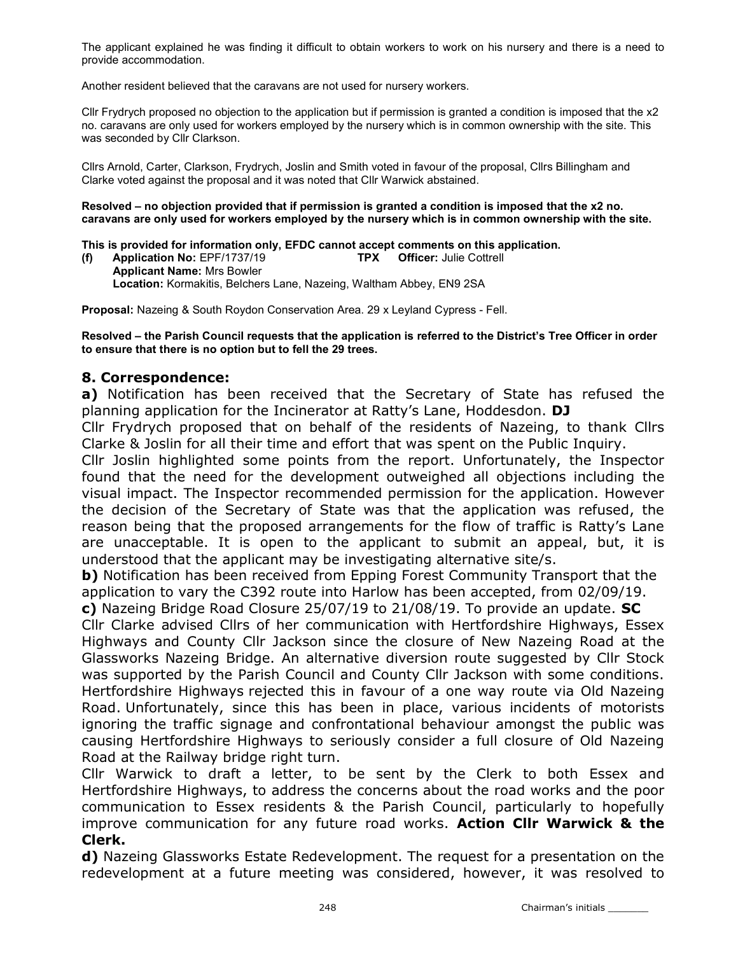The applicant explained he was finding it difficult to obtain workers to work on his nursery and there is a need to provide accommodation.

Another resident believed that the caravans are not used for nursery workers.

Cllr Frydrych proposed no objection to the application but if permission is granted a condition is imposed that the x2 no. caravans are only used for workers employed by the nursery which is in common ownership with the site. This was seconded by Cllr Clarkson.

Cllrs Arnold, Carter, Clarkson, Frydrych, Joslin and Smith voted in favour of the proposal, Cllrs Billingham and Clarke voted against the proposal and it was noted that Cllr Warwick abstained.

#### Resolved – no objection provided that if permission is granted a condition is imposed that the x2 no. caravans are only used for workers employed by the nursery which is in common ownership with the site.

This is provided for information only, EFDC cannot accept comments on this application.<br>(f) Application No: EPF/1737/19 TPX Officer: Julie Cottrell

(f) Application No: EPF/1737/19 TPX Officer: Julie Cottrell Applicant Name: Mrs Bowler Location: Kormakitis, Belchers Lane, Nazeing, Waltham Abbey, EN9 2SA

Proposal: Nazeing & South Roydon Conservation Area. 29 x Leyland Cypress - Fell.

Resolved – the Parish Council requests that the application is referred to the District's Tree Officer in order to ensure that there is no option but to fell the 29 trees.

#### 8. Correspondence:

a) Notification has been received that the Secretary of State has refused the planning application for the Incinerator at Ratty's Lane, Hoddesdon. DJ

Cllr Frydrych proposed that on behalf of the residents of Nazeing, to thank Cllrs Clarke & Joslin for all their time and effort that was spent on the Public Inquiry.

Cllr Joslin highlighted some points from the report. Unfortunately, the Inspector found that the need for the development outweighed all objections including the visual impact. The Inspector recommended permission for the application. However the decision of the Secretary of State was that the application was refused, the reason being that the proposed arrangements for the flow of traffic is Ratty's Lane are unacceptable. It is open to the applicant to submit an appeal, but, it is understood that the applicant may be investigating alternative site/s.

b) Notification has been received from Epping Forest Community Transport that the application to vary the C392 route into Harlow has been accepted, from 02/09/19.

c) Nazeing Bridge Road Closure 25/07/19 to 21/08/19. To provide an update. SC Cllr Clarke advised Cllrs of her communication with Hertfordshire Highways, Essex Highways and County Cllr Jackson since the closure of New Nazeing Road at the Glassworks Nazeing Bridge. An alternative diversion route suggested by Cllr Stock was supported by the Parish Council and County Cllr Jackson with some conditions. Hertfordshire Highways rejected this in favour of a one way route via Old Nazeing Road. Unfortunately, since this has been in place, various incidents of motorists ignoring the traffic signage and confrontational behaviour amongst the public was causing Hertfordshire Highways to seriously consider a full closure of Old Nazeing Road at the Railway bridge right turn.

Cllr Warwick to draft a letter, to be sent by the Clerk to both Essex and Hertfordshire Highways, to address the concerns about the road works and the poor communication to Essex residents & the Parish Council, particularly to hopefully improve communication for any future road works. Action Cllr Warwick & the Clerk.

d) Nazeing Glassworks Estate Redevelopment. The request for a presentation on the redevelopment at a future meeting was considered, however, it was resolved to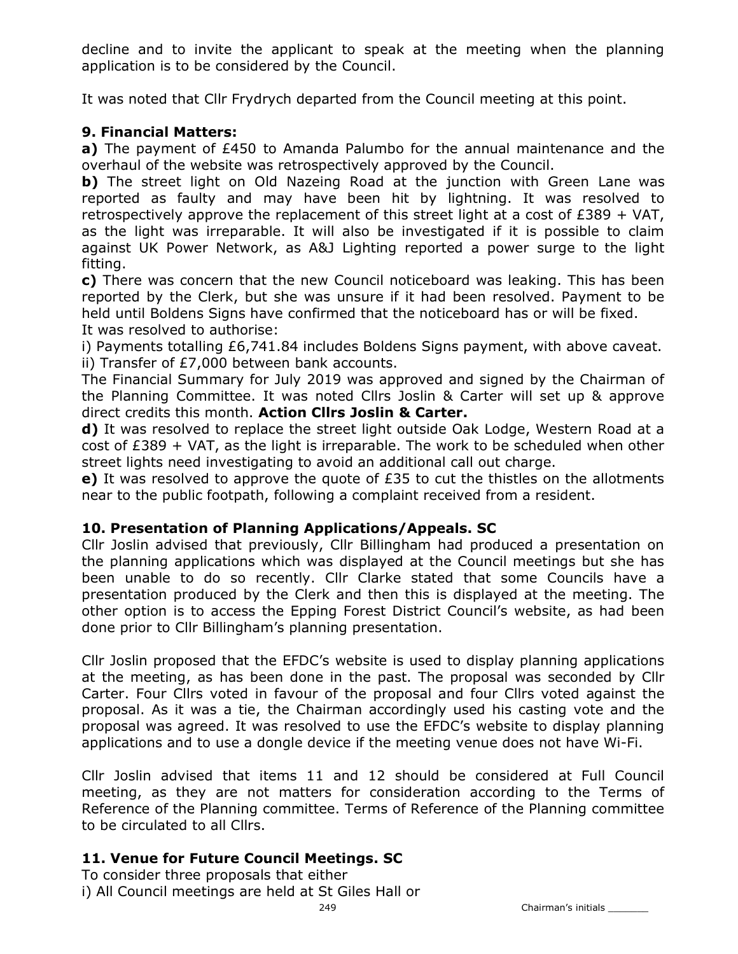decline and to invite the applicant to speak at the meeting when the planning application is to be considered by the Council.

It was noted that Cllr Frydrych departed from the Council meeting at this point.

## 9. Financial Matters:

a) The payment of  $E$ 450 to Amanda Palumbo for the annual maintenance and the overhaul of the website was retrospectively approved by the Council.

b) The street light on Old Nazeing Road at the junction with Green Lane was reported as faulty and may have been hit by lightning. It was resolved to retrospectively approve the replacement of this street light at a cost of  $£389 + VAT$ , as the light was irreparable. It will also be investigated if it is possible to claim against UK Power Network, as A&J Lighting reported a power surge to the light fitting.

c) There was concern that the new Council noticeboard was leaking. This has been reported by the Clerk, but she was unsure if it had been resolved. Payment to be held until Boldens Signs have confirmed that the noticeboard has or will be fixed. It was resolved to authorise:

i) Payments totalling £6,741.84 includes Boldens Signs payment, with above caveat. ii) Transfer of £7,000 between bank accounts.

The Financial Summary for July 2019 was approved and signed by the Chairman of the Planning Committee. It was noted Cllrs Joslin & Carter will set up & approve direct credits this month. Action Cllrs Joslin & Carter.

d) It was resolved to replace the street light outside Oak Lodge, Western Road at a  $cost$  of  $£389 + VAT$ , as the light is irreparable. The work to be scheduled when other street lights need investigating to avoid an additional call out charge.

e) It was resolved to approve the quote of  $£35$  to cut the thistles on the allotments near to the public footpath, following a complaint received from a resident.

## 10. Presentation of Planning Applications/Appeals. SC

Cllr Joslin advised that previously, Cllr Billingham had produced a presentation on the planning applications which was displayed at the Council meetings but she has been unable to do so recently. Cllr Clarke stated that some Councils have a presentation produced by the Clerk and then this is displayed at the meeting. The other option is to access the Epping Forest District Council's website, as had been done prior to Cllr Billingham's planning presentation.

Cllr Joslin proposed that the EFDC's website is used to display planning applications at the meeting, as has been done in the past. The proposal was seconded by Cllr Carter. Four Cllrs voted in favour of the proposal and four Cllrs voted against the proposal. As it was a tie, the Chairman accordingly used his casting vote and the proposal was agreed. It was resolved to use the EFDC's website to display planning applications and to use a dongle device if the meeting venue does not have Wi-Fi.

Cllr Joslin advised that items 11 and 12 should be considered at Full Council meeting, as they are not matters for consideration according to the Terms of Reference of the Planning committee. Terms of Reference of the Planning committee to be circulated to all Cllrs.

# 11. Venue for Future Council Meetings. SC

To consider three proposals that either i) All Council meetings are held at St Giles Hall or